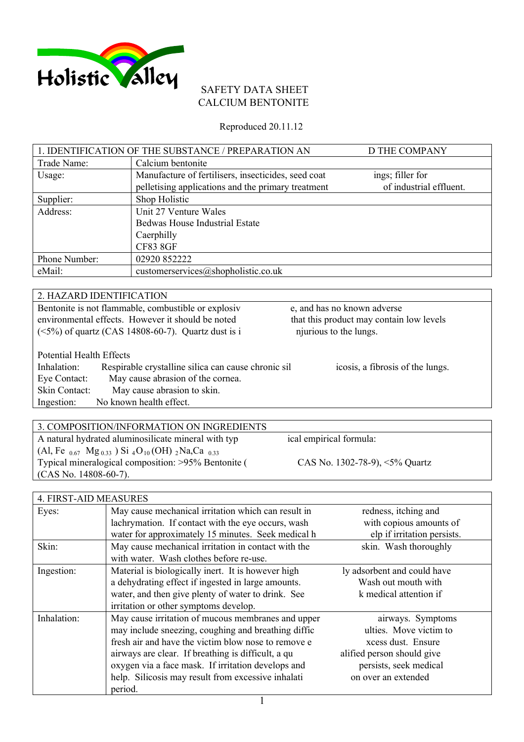

## SAFETY DATA SHEET CALCIUM BENTONITE

Reproduced 20.11.12

|               | 1. IDENTIFICATION OF THE SUBSTANCE / PREPARATION AN | D THE COMPANY           |
|---------------|-----------------------------------------------------|-------------------------|
| Trade Name:   | Calcium bentonite                                   |                         |
| Usage:        | Manufacture of fertilisers, insecticides, seed coat | ings; filler for        |
|               | pelletising applications and the primary treatment  | of industrial effluent. |
| Supplier:     | Shop Holistic                                       |                         |
| Address:      | Unit 27 Venture Wales                               |                         |
|               | <b>Bedwas House Industrial Estate</b>               |                         |
|               | Caerphilly                                          |                         |
|               | <b>CF83 8GF</b>                                     |                         |
| Phone Number: | 02920 852222                                        |                         |
| eMail:        | customerservices@shopholistic.co.uk                 |                         |

|                                                                                 | 2. HAZARD IDENTIFICATION                            |                                          |
|---------------------------------------------------------------------------------|-----------------------------------------------------|------------------------------------------|
|                                                                                 | Bentonite is not flammable, combustible or explosiv | e, and has no known adverse              |
|                                                                                 | environmental effects. However it should be noted   | that this product may contain low levels |
| njurious to the lungs.<br>$(<5\%)$ of quartz (CAS 14808-60-7). Quartz dust is i |                                                     |                                          |
|                                                                                 |                                                     |                                          |
| <b>Potential Health Effects</b>                                                 |                                                     |                                          |
| Inhalation:                                                                     | Respirable crystalline silica can cause chronic sil | icosis, a fibrosis of the lungs.         |
| Eye Contact:                                                                    | May cause abrasion of the cornea.                   |                                          |
| Skin Contact:                                                                   | May cause abrasion to skin.                         |                                          |
| Ingestion:                                                                      | No known health effect.                             |                                          |

| 3. COMPOSITION/INFORMATION ON INGREDIENTS                                                                      |                                       |
|----------------------------------------------------------------------------------------------------------------|---------------------------------------|
| A natural hydrated aluminosilicate mineral with typ                                                            | ical empirical formula:               |
| (Al, Fe $_{0.67}$ Mg <sub>0.33</sub> ) Si <sub>4</sub> O <sub>10</sub> (OH) <sub>2</sub> Na,Ca <sub>0.33</sub> |                                       |
| Typical mineralogical composition: >95% Bentonite (                                                            | CAS No. 1302-78-9), $\leq 5\%$ Quartz |
| $(CAS No. 14808-60-7)$ .                                                                                       |                                       |

| 4. FIRST-AID MEASURES |                                                     |                             |
|-----------------------|-----------------------------------------------------|-----------------------------|
| Eyes:                 | May cause mechanical irritation which can result in | redness, itching and        |
|                       | lachrymation. If contact with the eye occurs, wash  | with copious amounts of     |
|                       | water for approximately 15 minutes. Seek medical h  | elp if irritation persists. |
| Skin:                 | May cause mechanical irritation in contact with the | skin. Wash thoroughly       |
|                       | with water. Wash clothes before re-use.             |                             |
| Ingestion:            | Material is biologically inert. It is however high  | ly adsorbent and could have |
|                       | a dehydrating effect if ingested in large amounts.  | Wash out mouth with         |
|                       | water, and then give plenty of water to drink. See  | k medical attention if      |
|                       | irritation or other symptoms develop.               |                             |
| Inhalation:           | May cause irritation of mucous membranes and upper  | airways. Symptoms           |
|                       | may include sneezing, coughing and breathing diffic | ulties. Move victim to      |
|                       | fresh air and have the victim blow nose to remove e | xcess dust. Ensure          |
|                       | airways are clear. If breathing is difficult, a qu  | alified person should give  |
|                       | oxygen via a face mask. If irritation develops and  | persists, seek medical      |
|                       | help. Silicosis may result from excessive inhalati  | on over an extended         |
|                       | period.                                             |                             |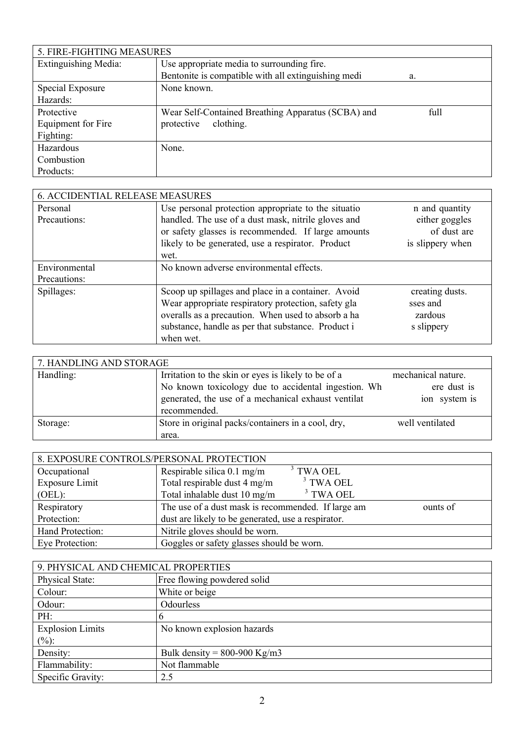| 5. FIRE-FIGHTING MEASURES   |                                                     |      |
|-----------------------------|-----------------------------------------------------|------|
| <b>Extinguishing Media:</b> | Use appropriate media to surrounding fire.          |      |
|                             | Bentonite is compatible with all extinguishing medi | a.   |
| Special Exposure            | None known.                                         |      |
| Hazards:                    |                                                     |      |
| Protective                  | Wear Self-Contained Breathing Apparatus (SCBA) and  | full |
| Equipment for Fire          | clothing.<br>protective                             |      |
| Fighting:                   |                                                     |      |
| Hazardous                   | None.                                               |      |
| Combustion                  |                                                     |      |
| Products:                   |                                                     |      |

| 6. ACCIDENTIAL RELEASE MEASURES |                                                     |                  |
|---------------------------------|-----------------------------------------------------|------------------|
| Personal                        | Use personal protection appropriate to the situatio | n and quantity   |
| Precautions:                    | handled. The use of a dust mask, nitrile gloves and | either goggles   |
|                                 | or safety glasses is recommended. If large amounts  | of dust are      |
|                                 | likely to be generated, use a respirator. Product   | is slippery when |
|                                 | wet.                                                |                  |
| Environmental                   | No known adverse environmental effects.             |                  |
| Precautions:                    |                                                     |                  |
| Spillages:                      | Scoop up spillages and place in a container. Avoid  | creating dusts.  |
|                                 | Wear appropriate respiratory protection, safety gla | sses and         |
|                                 | overalls as a precaution. When used to absorb a ha  | zardous          |
|                                 | substance, handle as per that substance. Product i  | s slippery       |
|                                 | when wet.                                           |                  |

| 7. HANDLING AND STORAGE |                                                                                                                                                                                   |                                                    |
|-------------------------|-----------------------------------------------------------------------------------------------------------------------------------------------------------------------------------|----------------------------------------------------|
| Handling:               | Irritation to the skin or eyes is likely to be of a<br>No known toxicology due to accidental ingestion. Wh<br>generated, the use of a mechanical exhaust ventilat<br>recommended. | mechanical nature.<br>ere dust is<br>ion system is |
| Storage:                | Store in original packs/containers in a cool, dry,<br>area.                                                                                                                       | well ventilated                                    |

| 8. EXPOSURE CONTROLS/PERSONAL PROTECTION |                                                    |          |
|------------------------------------------|----------------------------------------------------|----------|
| Occupational                             | $3$ TWA OEL<br>Respirable silica 0.1 mg/m          |          |
| Exposure Limit                           | $3$ TWA OEL<br>Total respirable dust 4 mg/m        |          |
| (OEL):                                   | $3$ TWA OEL<br>Total inhalable dust 10 mg/m        |          |
| Respiratory                              | The use of a dust mask is recommended. If large am | ounts of |
| Protection:                              | dust are likely to be generated, use a respirator. |          |
| Hand Protection:                         | Nitrile gloves should be worn.                     |          |
| Eye Protection:                          | Goggles or safety glasses should be worn.          |          |

| 9. PHYSICAL AND CHEMICAL PROPERTIES |                                |  |
|-------------------------------------|--------------------------------|--|
| Physical State:                     | Free flowing powdered solid    |  |
| Colour:                             | White or beige                 |  |
| Odour:                              | Odourless                      |  |
| PH:                                 | b                              |  |
| <b>Explosion Limits</b>             | No known explosion hazards     |  |
| $(\%):$                             |                                |  |
| Density:                            | Bulk density = $800-900$ Kg/m3 |  |
| Flammability:                       | Not flammable                  |  |
| Specific Gravity:                   | 2.5                            |  |